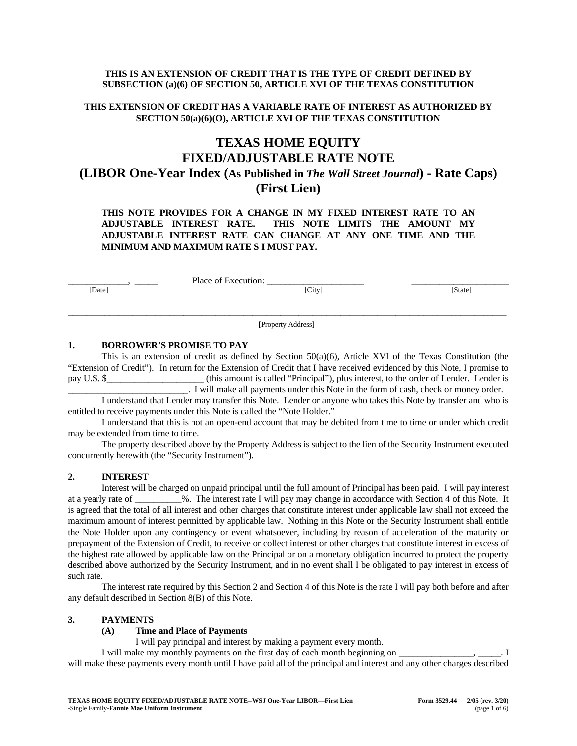# **THIS IS AN EXTENSION OF CREDIT THAT IS THE TYPE OF CREDIT DEFINED BY SUBSECTION (a)(6) OF SECTION 50, ARTICLE XVI OF THE TEXAS CONSTITUTION**

# **THIS EXTENSION OF CREDIT HAS A VARIABLE RATE OF INTEREST AS AUTHORIZED BY SECTION 50(a)(6)(O), ARTICLE XVI OF THE TEXAS CONSTITUTION**

# **TEXAS HOME EQUITY FIXED/ADJUSTABLE RATE NOTE (LIBOR One-Year Index (As Published in** *The Wall Street Journal***) - Rate Caps) (First Lien)**

**THIS NOTE PROVIDES FOR A CHANGE IN MY FIXED INTEREST RATE TO AN ADJUSTABLE INTEREST RATE. THIS NOTE LIMITS THE AMOUNT MY ADJUSTABLE INTEREST RATE CAN CHANGE AT ANY ONE TIME AND THE MINIMUM AND MAXIMUM RATE S I MUST PAY.**

Place of Execution: \_ [Date] [City] [State]

 $\_$  ,  $\_$  ,  $\_$  ,  $\_$  ,  $\_$  ,  $\_$  ,  $\_$  ,  $\_$  ,  $\_$  ,  $\_$  ,  $\_$  ,  $\_$  ,  $\_$  ,  $\_$  ,  $\_$  ,  $\_$  ,  $\_$  ,  $\_$  ,  $\_$  ,  $\_$  ,  $\_$  ,  $\_$  ,  $\_$  ,  $\_$  ,  $\_$  ,  $\_$  ,  $\_$  ,  $\_$  ,  $\_$  ,  $\_$  ,  $\_$  ,  $\_$  ,  $\_$  ,  $\_$  ,  $\_$  ,  $\_$  ,  $\_$  , [Property Address]

# **1. BORROWER'S PROMISE TO PAY**

This is an extension of credit as defined by Section 50(a)(6), Article XVI of the Texas Constitution (the "Extension of Credit"). In return for the Extension of Credit that I have received evidenced by this Note, I promise to pay U.S. \$\_\_\_\_\_\_\_\_\_\_\_\_\_\_\_\_\_\_\_\_\_ (this amount is called "Principal"), plus interest, to the order of Lender. Lender is \_\_\_\_\_\_\_\_\_\_\_\_\_\_\_\_\_\_\_\_\_\_\_\_\_\_. I will make all payments under this Note in the form of cash, check or money order.

I understand that Lender may transfer this Note. Lender or anyone who takes this Note by transfer and who is entitled to receive payments under this Note is called the "Note Holder."

I understand that this is not an open-end account that may be debited from time to time or under which credit may be extended from time to time.

The property described above by the Property Address is subject to the lien of the Security Instrument executed concurrently herewith (the "Security Instrument").

# **2. INTEREST**

Interest will be charged on unpaid principal until the full amount of Principal has been paid. I will pay interest at a yearly rate of  $\%$ . The interest rate I will pay may change in accordance with Section 4 of this Note. It is agreed that the total of all interest and other charges that constitute interest under applicable law shall not exceed the maximum amount of interest permitted by applicable law. Nothing in this Note or the Security Instrument shall entitle the Note Holder upon any contingency or event whatsoever, including by reason of acceleration of the maturity or prepayment of the Extension of Credit, to receive or collect interest or other charges that constitute interest in excess of the highest rate allowed by applicable law on the Principal or on a monetary obligation incurred to protect the property described above authorized by the Security Instrument, and in no event shall I be obligated to pay interest in excess of such rate.

The interest rate required by this Section 2 and Section 4 of this Note is the rate I will pay both before and after any default described in Section 8(B) of this Note.

# **3. PAYMENTS**

#### **(A) Time and Place of Payments**

I will pay principal and interest by making a payment every month.

I will make my monthly payments on the first day of each month beginning on  $\Box$ will make these payments every month until I have paid all of the principal and interest and any other charges described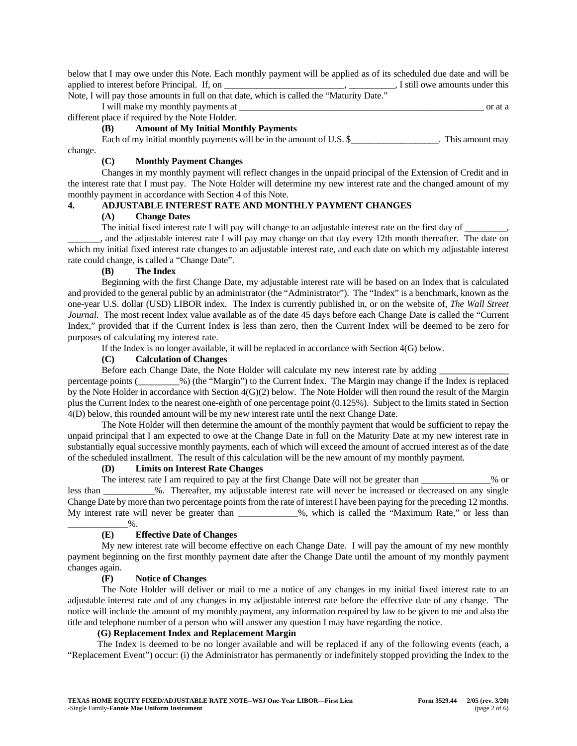below that I may owe under this Note. Each monthly payment will be applied as of its scheduled due date and will be applied to interest before Principal. If, on \_\_\_\_\_\_\_\_\_\_\_\_\_\_\_\_\_\_\_\_\_\_\_\_\_, \_\_\_\_\_\_\_\_\_, I still owe amounts under this

Note, I will pay those amounts in full on that date, which is called the "Maturity Date." I will make my monthly payments at  $\overline{a}$ 

different place if required by the Note Holder.

# **(B) Amount of My Initial Monthly Payments**

Each of my initial monthly payments will be in the amount of U.S. \$\_\_\_\_\_\_\_\_\_\_\_\_\_\_\_\_\_\_. This amount may change.

# **(C) Monthly Payment Changes**

Changes in my monthly payment will reflect changes in the unpaid principal of the Extension of Credit and in the interest rate that I must pay. The Note Holder will determine my new interest rate and the changed amount of my monthly payment in accordance with Section 4 of this Note.

# **4. ADJUSTABLE INTEREST RATE AND MONTHLY PAYMENT CHANGES**

#### **(A) Change Dates**

The initial fixed interest rate I will pay will change to an adjustable interest rate on the first day of \_\_\_\_\_\_\_\_\_,

\_\_\_\_\_\_\_, and the adjustable interest rate I will pay may change on that day every 12th month thereafter. The date on which my initial fixed interest rate changes to an adjustable interest rate, and each date on which my adjustable interest rate could change, is called a "Change Date".

# **(B) The Index**

Beginning with the first Change Date, my adjustable interest rate will be based on an Index that is calculated and provided to the general public by an administrator (the "Administrator"). The "Index" is a benchmark, known as the one-year U.S. dollar (USD) LIBOR index. The Index is currently published in, or on the website of, *The Wall Street Journal*. The most recent Index value available as of the date 45 days before each Change Date is called the "Current Index," provided that if the Current Index is less than zero, then the Current Index will be deemed to be zero for purposes of calculating my interest rate.

If the Index is no longer available, it will be replaced in accordance with Section 4(G) below.

# **(C) Calculation of Changes**

Before each Change Date, the Note Holder will calculate my new interest rate by adding

percentage points (\_\_\_\_\_\_\_\_\_%) (the "Margin") to the Current Index. The Margin may change if the Index is replaced by the Note Holder in accordance with Section 4(G)(2) below. The Note Holder will then round the result of the Margin plus the Current Index to the nearest one-eighth of one percentage point (0.125%). Subject to the limits stated in Section 4(D) below, this rounded amount will be my new interest rate until the next Change Date.

The Note Holder will then determine the amount of the monthly payment that would be sufficient to repay the unpaid principal that I am expected to owe at the Change Date in full on the Maturity Date at my new interest rate in substantially equal successive monthly payments, each of which will exceed the amount of accrued interest as of the date of the scheduled installment. The result of this calculation will be the new amount of my monthly payment.

# **(D) Limits on Interest Rate Changes**

The interest rate I am required to pay at the first Change Date will not be greater than \_\_\_\_\_\_\_\_\_\_\_\_\_% or less than \_\_\_\_\_\_\_\_\_\_\_%. Thereafter, my adjustable interest rate will never be increased or decreased on any single Change Date by more than two percentage points from the rate of interest I have been paying for the preceding 12 months. My interest rate will never be greater than \_\_\_\_\_\_\_\_\_\_\_%, which is called the "Maximum Rate," or less than  $\frac{0}{6}$ .

# **(E) Effective Date of Changes**

My new interest rate will become effective on each Change Date. I will pay the amount of my new monthly payment beginning on the first monthly payment date after the Change Date until the amount of my monthly payment changes again.

# **(F) Notice of Changes**

The Note Holder will deliver or mail to me a notice of any changes in my initial fixed interest rate to an adjustable interest rate and of any changes in my adjustable interest rate before the effective date of any change. The notice will include the amount of my monthly payment, any information required by law to be given to me and also the title and telephone number of a person who will answer any question I may have regarding the notice.

# **(G) Replacement Index and Replacement Margin**

The Index is deemed to be no longer available and will be replaced if any of the following events (each, a "Replacement Event") occur: (i) the Administrator has permanently or indefinitely stopped providing the Index to the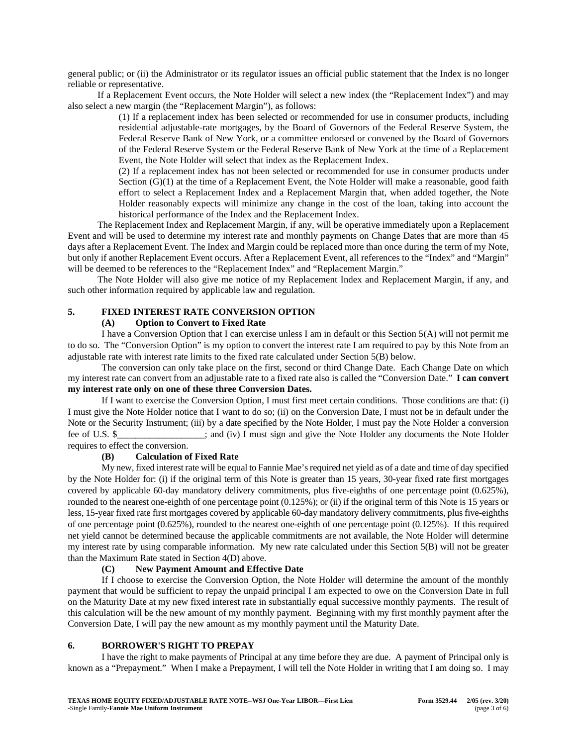general public; or (ii) the Administrator or its regulator issues an official public statement that the Index is no longer reliable or representative.

If a Replacement Event occurs, the Note Holder will select a new index (the "Replacement Index") and may also select a new margin (the "Replacement Margin"), as follows:

> (1) If a replacement index has been selected or recommended for use in consumer products, including residential adjustable-rate mortgages, by the Board of Governors of the Federal Reserve System, the Federal Reserve Bank of New York, or a committee endorsed or convened by the Board of Governors of the Federal Reserve System or the Federal Reserve Bank of New York at the time of a Replacement Event, the Note Holder will select that index as the Replacement Index.

> (2) If a replacement index has not been selected or recommended for use in consumer products under Section (G)(1) at the time of a Replacement Event, the Note Holder will make a reasonable, good faith effort to select a Replacement Index and a Replacement Margin that, when added together, the Note Holder reasonably expects will minimize any change in the cost of the loan, taking into account the historical performance of the Index and the Replacement Index.

The Replacement Index and Replacement Margin, if any, will be operative immediately upon a Replacement Event and will be used to determine my interest rate and monthly payments on Change Dates that are more than 45 days after a Replacement Event. The Index and Margin could be replaced more than once during the term of my Note, but only if another Replacement Event occurs. After a Replacement Event, all references to the "Index" and "Margin" will be deemed to be references to the "Replacement Index" and "Replacement Margin."

The Note Holder will also give me notice of my Replacement Index and Replacement Margin, if any, and such other information required by applicable law and regulation.

# **5. FIXED INTEREST RATE CONVERSION OPTION**

#### **(A) Option to Convert to Fixed Rate**

I have a Conversion Option that I can exercise unless I am in default or this Section 5(A) will not permit me to do so. The "Conversion Option" is my option to convert the interest rate I am required to pay by this Note from an adjustable rate with interest rate limits to the fixed rate calculated under Section 5(B) below.

The conversion can only take place on the first, second or third Change Date. Each Change Date on which my interest rate can convert from an adjustable rate to a fixed rate also is called the "Conversion Date." **I can convert my interest rate only on one of these three Conversion Dates.**

If I want to exercise the Conversion Option, I must first meet certain conditions. Those conditions are that: (i) I must give the Note Holder notice that I want to do so; (ii) on the Conversion Date, I must not be in default under the Note or the Security Instrument; (iii) by a date specified by the Note Holder, I must pay the Note Holder a conversion fee of U.S. \$  $\ddot{\text{s}}$  ; and (iv) I must sign and give the Note Holder any documents the Note Holder requires to effect the conversion.

#### **(B) Calculation of Fixed Rate**

My new, fixed interest rate will be equal to Fannie Mae's required net yield as of a date and time of day specified by the Note Holder for: (i) if the original term of this Note is greater than 15 years, 30-year fixed rate first mortgages covered by applicable 60-day mandatory delivery commitments, plus five-eighths of one percentage point (0.625%), rounded to the nearest one-eighth of one percentage point (0.125%); or (ii) if the original term of this Note is 15 years or less, 15-year fixed rate first mortgages covered by applicable 60-day mandatory delivery commitments, plus five-eighths of one percentage point (0.625%), rounded to the nearest one-eighth of one percentage point (0.125%). If this required net yield cannot be determined because the applicable commitments are not available, the Note Holder will determine my interest rate by using comparable information. My new rate calculated under this Section 5(B) will not be greater than the Maximum Rate stated in Section 4(D) above.

#### **(C) New Payment Amount and Effective Date**

If I choose to exercise the Conversion Option, the Note Holder will determine the amount of the monthly payment that would be sufficient to repay the unpaid principal I am expected to owe on the Conversion Date in full on the Maturity Date at my new fixed interest rate in substantially equal successive monthly payments. The result of this calculation will be the new amount of my monthly payment. Beginning with my first monthly payment after the Conversion Date, I will pay the new amount as my monthly payment until the Maturity Date.

#### **6. BORROWER'S RIGHT TO PREPAY**

I have the right to make payments of Principal at any time before they are due. A payment of Principal only is known as a "Prepayment." When I make a Prepayment, I will tell the Note Holder in writing that I am doing so. I may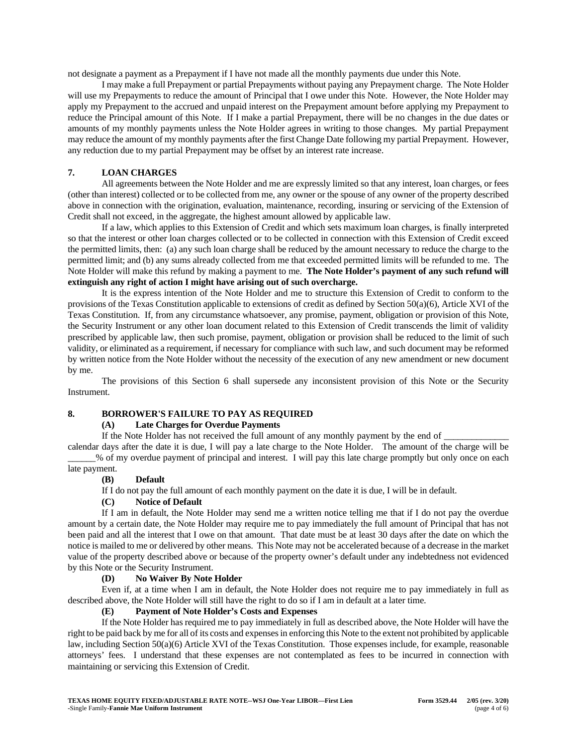not designate a payment as a Prepayment if I have not made all the monthly payments due under this Note.

I may make a full Prepayment or partial Prepayments without paying any Prepayment charge. The Note Holder will use my Prepayments to reduce the amount of Principal that I owe under this Note. However, the Note Holder may apply my Prepayment to the accrued and unpaid interest on the Prepayment amount before applying my Prepayment to reduce the Principal amount of this Note. If I make a partial Prepayment, there will be no changes in the due dates or amounts of my monthly payments unless the Note Holder agrees in writing to those changes. My partial Prepayment may reduce the amount of my monthly payments after the first Change Date following my partial Prepayment. However, any reduction due to my partial Prepayment may be offset by an interest rate increase.

# **7. LOAN CHARGES**

All agreements between the Note Holder and me are expressly limited so that any interest, loan charges, or fees (other than interest) collected or to be collected from me, any owner or the spouse of any owner of the property described above in connection with the origination, evaluation, maintenance, recording, insuring or servicing of the Extension of Credit shall not exceed, in the aggregate, the highest amount allowed by applicable law.

If a law, which applies to this Extension of Credit and which sets maximum loan charges, is finally interpreted so that the interest or other loan charges collected or to be collected in connection with this Extension of Credit exceed the permitted limits, then: (a) any such loan charge shall be reduced by the amount necessary to reduce the charge to the permitted limit; and (b) any sums already collected from me that exceeded permitted limits will be refunded to me. The Note Holder will make this refund by making a payment to me. **The Note Holder's payment of any such refund will extinguish any right of action I might have arising out of such overcharge.**

It is the express intention of the Note Holder and me to structure this Extension of Credit to conform to the provisions of the Texas Constitution applicable to extensions of credit as defined by Section 50(a)(6), Article XVI of the Texas Constitution. If, from any circumstance whatsoever, any promise, payment, obligation or provision of this Note, the Security Instrument or any other loan document related to this Extension of Credit transcends the limit of validity prescribed by applicable law, then such promise, payment, obligation or provision shall be reduced to the limit of such validity, or eliminated as a requirement, if necessary for compliance with such law, and such document may be reformed by written notice from the Note Holder without the necessity of the execution of any new amendment or new document by me.

The provisions of this Section 6 shall supersede any inconsistent provision of this Note or the Security Instrument.

# **8. BORROWER'S FAILURE TO PAY AS REQUIRED**

# **(A) Late Charges for Overdue Payments**

If the Note Holder has not received the full amount of any monthly payment by the end of \_

calendar days after the date it is due, I will pay a late charge to the Note Holder. The amount of the charge will be \_\_\_\_\_\_% of my overdue payment of principal and interest. I will pay this late charge promptly but only once on each late payment.

## **(B) Default**

If I do not pay the full amount of each monthly payment on the date it is due, I will be in default.

#### **(C) Notice of Default**

If I am in default, the Note Holder may send me a written notice telling me that if I do not pay the overdue amount by a certain date, the Note Holder may require me to pay immediately the full amount of Principal that has not been paid and all the interest that I owe on that amount. That date must be at least 30 days after the date on which the notice is mailed to me or delivered by other means. This Note may not be accelerated because of a decrease in the market value of the property described above or because of the property owner's default under any indebtedness not evidenced by this Note or the Security Instrument.

#### **(D) No Waiver By Note Holder**

Even if, at a time when I am in default, the Note Holder does not require me to pay immediately in full as described above, the Note Holder will still have the right to do so if I am in default at a later time.

# **(E) Payment of Note Holder's Costs and Expenses**

If the Note Holder has required me to pay immediately in full as described above, the Note Holder will have the right to be paid back by me for all of its costs and expenses in enforcing this Note to the extent not prohibited by applicable law, including Section 50(a)(6) Article XVI of the Texas Constitution. Those expenses include, for example, reasonable attorneys' fees. I understand that these expenses are not contemplated as fees to be incurred in connection with maintaining or servicing this Extension of Credit.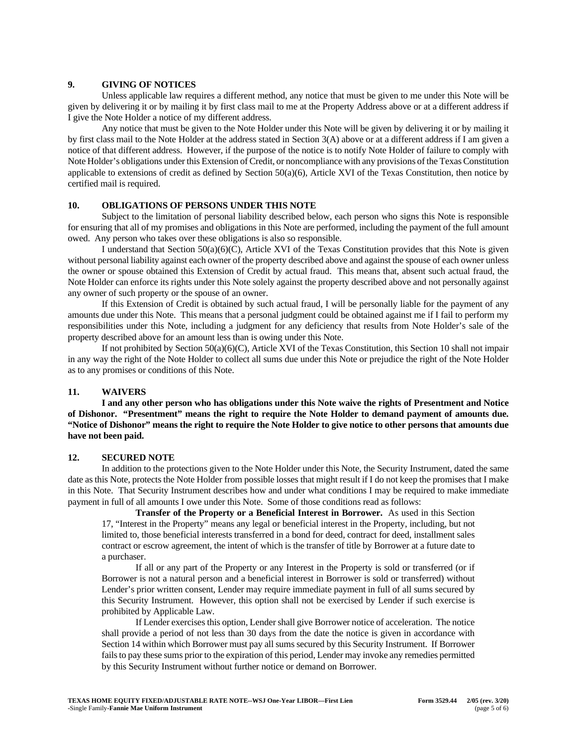# **9. GIVING OF NOTICES**

Unless applicable law requires a different method, any notice that must be given to me under this Note will be given by delivering it or by mailing it by first class mail to me at the Property Address above or at a different address if I give the Note Holder a notice of my different address.

Any notice that must be given to the Note Holder under this Note will be given by delivering it or by mailing it by first class mail to the Note Holder at the address stated in Section 3(A) above or at a different address if I am given a notice of that different address. However, if the purpose of the notice is to notify Note Holder of failure to comply with Note Holder's obligations under this Extension of Credit, or noncompliance with any provisions of the Texas Constitution applicable to extensions of credit as defined by Section  $50(a)(6)$ , Article XVI of the Texas Constitution, then notice by certified mail is required.

# **10. OBLIGATIONS OF PERSONS UNDER THIS NOTE**

Subject to the limitation of personal liability described below, each person who signs this Note is responsible for ensuring that all of my promises and obligations in this Note are performed, including the payment of the full amount owed. Any person who takes over these obligations is also so responsible.

I understand that Section 50(a)(6)(C), Article XVI of the Texas Constitution provides that this Note is given without personal liability against each owner of the property described above and against the spouse of each owner unless the owner or spouse obtained this Extension of Credit by actual fraud. This means that, absent such actual fraud, the Note Holder can enforce its rights under this Note solely against the property described above and not personally against any owner of such property or the spouse of an owner.

If this Extension of Credit is obtained by such actual fraud, I will be personally liable for the payment of any amounts due under this Note. This means that a personal judgment could be obtained against me if I fail to perform my responsibilities under this Note, including a judgment for any deficiency that results from Note Holder's sale of the property described above for an amount less than is owing under this Note.

If not prohibited by Section 50(a)(6)(C), Article XVI of the Texas Constitution, this Section 10 shall not impair in any way the right of the Note Holder to collect all sums due under this Note or prejudice the right of the Note Holder as to any promises or conditions of this Note.

# **11. WAIVERS**

**I and any other person who has obligations under this Note waive the rights of Presentment and Notice of Dishonor. "Presentment" means the right to require the Note Holder to demand payment of amounts due. "Notice of Dishonor" means the right to require the Note Holder to give notice to other persons that amounts due have not been paid.**

# **12. SECURED NOTE**

In addition to the protections given to the Note Holder under this Note, the Security Instrument, dated the same date as this Note, protects the Note Holder from possible losses that might result if I do not keep the promises that I make in this Note. That Security Instrument describes how and under what conditions I may be required to make immediate payment in full of all amounts I owe under this Note. Some of those conditions read as follows:

**Transfer of the Property or a Beneficial Interest in Borrower.** As used in this Section 17, "Interest in the Property" means any legal or beneficial interest in the Property, including, but not limited to, those beneficial interests transferred in a bond for deed, contract for deed, installment sales contract or escrow agreement, the intent of which is the transfer of title by Borrower at a future date to a purchaser.

If all or any part of the Property or any Interest in the Property is sold or transferred (or if Borrower is not a natural person and a beneficial interest in Borrower is sold or transferred) without Lender's prior written consent, Lender may require immediate payment in full of all sums secured by this Security Instrument. However, this option shall not be exercised by Lender if such exercise is prohibited by Applicable Law.

If Lender exercises this option, Lender shall give Borrower notice of acceleration. The notice shall provide a period of not less than 30 days from the date the notice is given in accordance with Section 14 within which Borrower must pay all sums secured by this Security Instrument. If Borrower fails to pay these sums prior to the expiration of this period, Lender may invoke any remedies permitted by this Security Instrument without further notice or demand on Borrower.